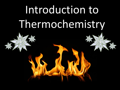# Introduction to Thermochemistry

Unit #10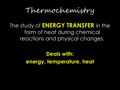## Thermochemistry

#### The study of **ENERGY TRANSFER** in the form of heat during chemical reactions and physical changes.

#### **Deals with: energy, temperature, heat**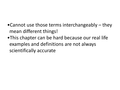- •Cannot use those terms interchangeably they mean different things!
- •This chapter can be hard because our real life examples and definitions are not always scientifically accurate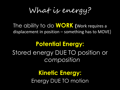What is energy?

The ability to do **WORK (**Work requires a displacement in position – something has to MOVE)

## **Potential Energy:** Stored energy DUE TO position or *composition*

**Kinetic Energy:** Energy DUE TO motion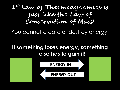#### **1st Law of Thermodynamics is just like the Law of Conservation of Mass!**

You cannot create or destroy energy.

#### **If something loses energy, something else has to gain it!**

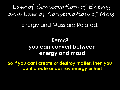#### Law of Conservation of Energy and Law of Conservation of Mass

#### Energy and Mass are Related!

#### **E=mc<sup>2</sup> you can convert between energy and mass!**

**So if you cant create or destroy matter, then you cant create or destroy energy either!**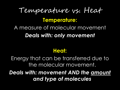## Temperature vs. Heat **Temperature:** A measure of molecular movement *Deals with: only movement*

#### **Heat:**

Energy that can be transferred due to the molecular movement.

*Deals with: movement AND the amount and type of molecules*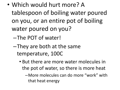- Which would hurt more? A tablespoon of boiling water poured on you, or an entire pot of boiling water poured on you?
	- –The POT of water!
	- –They are both at the same temperature, 100C
		- But there are more water molecules in the pot of water, so there is more heat

–More molecules can do more "work" with that heat energy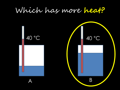## Which has more **heat?**

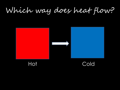## Which way does heat flow?



Hot Cold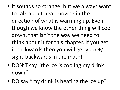- It sounds so strange, but we always want to talk about heat moving in the direction of what is warming up. Even though we know the other thing will cool down, that isn't the way we need to think about it for this chapter. If you get it backwards then you will get your +/ signs backwards in the math!
- DON'T say "the ice is cooling my drink down"
- DO say "my drink is heating the ice up"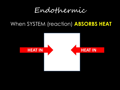Endothermic

#### When SYSTEM (reaction) **ABSORBS HEAT**

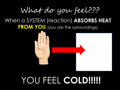## What do you feel???

#### When a SYSTEM (reaction) **ABSORBS HEAT FROM YOU** (you are the surroundings)



## YOU FEEL **COLD!!!!!**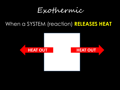Exothermic

#### When a SYSTEM (reaction) **RELEASES HEAT**

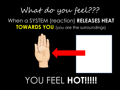## What do you feel???

#### When a SYSTEM (reaction) **RELEASES HEAT TOWARDS YOU** (you are the surroundings)

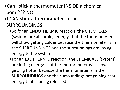•Can I stick a thermometer INSIDE a chemical bond??? NO!

#### •I CAN stick a thermometer in the SURROUNDINGS.

- •So for an ENDOTHERMIC reaction, the CHEMICALS (system) are absorbing energy…but the thermometer will show getting colder because the thermometer is in the SURROUNDINGS and the surroundings are losing energy to the system
- •For an EXOTHERMIC reaction, the CHEMICALS (system) are losing energy…but the thermometer will show getting hotter because the thermometer is in the SURROUNDINGS and the surroundings are gaining that energy that is being released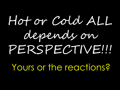# Hot or Cold ALL depends on PERSPECTIVE!!! Yours or the reactions?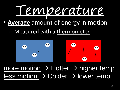

- **Average** amount of energy in motion
	- Measured with a thermometer



more motion  $\rightarrow$  Hotter  $\rightarrow$  higher temp  $less motion \rightarrow Colder \rightarrow lower temp$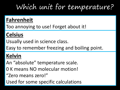## Which unit for temperature?

#### **Fahrenheit**

Too annoying to use! Forget about it!

#### **Celsius**

Usually used in science class.

Easy to remember freezing and boiling point.

#### **Kelvin**

An "absolute" temperature scale.

- 0 K means NO molecular motion!
- "Zero means zero!"

Used for some specific calculations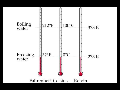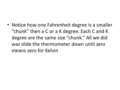• Notice how one Fahrenheit degree is a smaller "chunk" then a C or a K degree. Each C and K degree are the same size "chunk." All we did was slide the thermometer down until zero means zero for Kelvin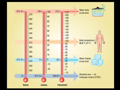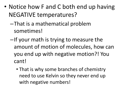- Notice how F and C both end up having NEGATIVE temperatures?
	- –That is a mathematical problem sometimes!
	- –If your math is trying to measure the amount of motion of molecules, how can you end up with negative motion?! You cant!
		- That is why some branches of chemistry need to use Kelvin so they never end up with negative numbers!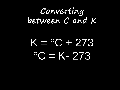## **Converting between C and K**

## $K = 0C + 273$  $^{\circ}$ C = K- 273